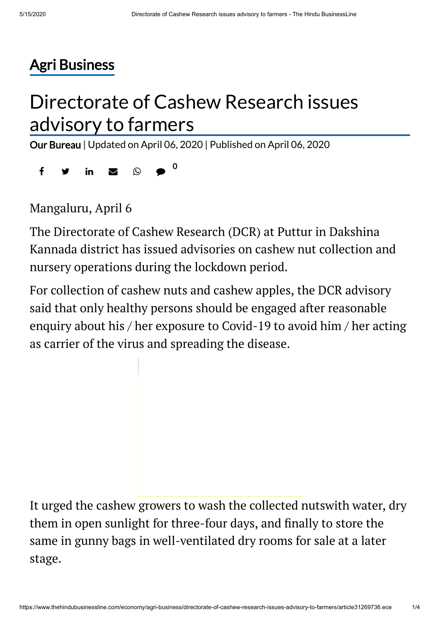# Agri [Business](https://www.thehindubusinessline.com/economy/agri-business/)

# Directorate of Cashew Research issues advisory to farmers

Our [Bureau](https://www.thehindubusinessline.com/profile/author/Our-Bureau-15447/) | Updated on April 06, 2020 | Published on April 06, 2020

 $f \circ g$  in  $g \circ g$ 0

Mangaluru, April 6

The Directorate of Cashew Research (DCR) at Puttur in Dakshina Kannada district has issued advisories on cashew nut collection and nursery operations during the lockdown period.

For collection of cashew nuts and cashew apples, the DCR advisory said that only healthy persons should be engaged after reasonable enquiry about his / her exposure to Covid-19 to avoid him / her acting as carrier of the virus and spreading the disease.

It urged the cashew growers to wash the collected nutswith water, dry them in open sunlight for three-four days, and finally to store the same in gunny bags in well-ventilated dry rooms for sale at a later stage.